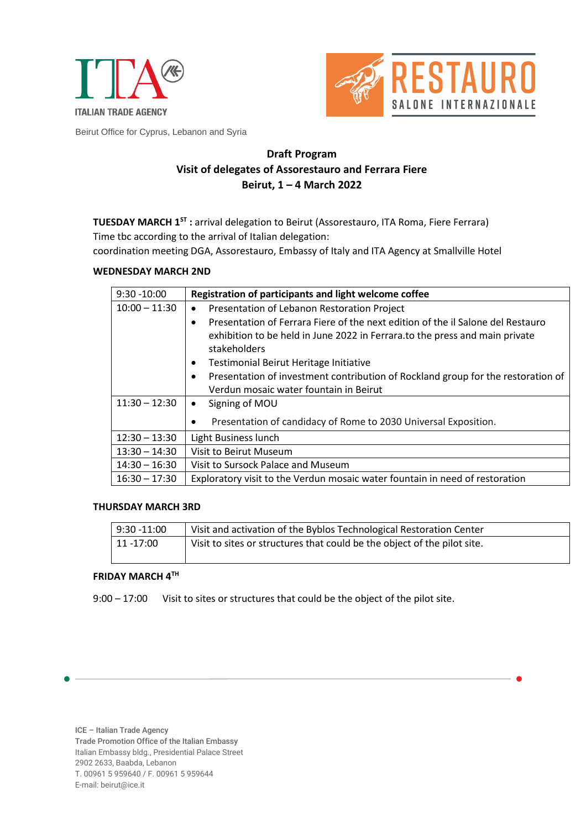



Beirut Office for Cyprus, Lebanon and Syria

## **Draft Program Visit of delegates of Assorestauro and Ferrara Fiere Beirut, 1 – 4 March 2022**

**TUESDAY MARCH 1ST :** arrival delegation to Beirut (Assorestauro, ITA Roma, Fiere Ferrara) Time tbc according to the arrival of Italian delegation:

coordination meeting DGA, Assorestauro, Embassy of Italy and ITA Agency at Smallville Hotel

## **WEDNESDAY MARCH 2ND**

| $9:30 - 10:00$  | Registration of participants and light welcome coffee                                                                                                                                                                                                                                                                                               |
|-----------------|-----------------------------------------------------------------------------------------------------------------------------------------------------------------------------------------------------------------------------------------------------------------------------------------------------------------------------------------------------|
| $10:00 - 11:30$ | Presentation of Lebanon Restoration Project<br>$\bullet$                                                                                                                                                                                                                                                                                            |
|                 | Presentation of Ferrara Fiere of the next edition of the il Salone del Restauro<br>$\bullet$<br>exhibition to be held in June 2022 in Ferrara.to the press and main private<br>stakeholders<br>Testimonial Beirut Heritage Initiative<br>$\bullet$<br>Presentation of investment contribution of Rockland group for the restoration of<br>$\bullet$ |
|                 | Verdun mosaic water fountain in Beirut                                                                                                                                                                                                                                                                                                              |
| $11:30 - 12:30$ | Signing of MOU<br>$\bullet$                                                                                                                                                                                                                                                                                                                         |
|                 | Presentation of candidacy of Rome to 2030 Universal Exposition.<br>$\bullet$                                                                                                                                                                                                                                                                        |
| $12:30 - 13:30$ | Light Business lunch                                                                                                                                                                                                                                                                                                                                |
| $13:30 - 14:30$ | Visit to Beirut Museum                                                                                                                                                                                                                                                                                                                              |
| $14:30 - 16:30$ | Visit to Sursock Palace and Museum                                                                                                                                                                                                                                                                                                                  |
| $16:30 - 17:30$ | Exploratory visit to the Verdun mosaic water fountain in need of restoration                                                                                                                                                                                                                                                                        |

## **THURSDAY MARCH 3RD**

| $9:30 - 11:00$ | Visit and activation of the Byblos Technological Restoration Center      |
|----------------|--------------------------------------------------------------------------|
| 11 -17:00      | Visit to sites or structures that could be the object of the pilot site. |
|                |                                                                          |

## **FRIDAY MARCH 4TH**

9:00 – 17:00 Visit to sites or structures that could be the object of the pilot site.

ICE – Italian Trade Agency Trade Promotion Office of the Italian Embassy Italian Embassy bldg., Presidential Palace Street 2902 2633, Baabda, Lebanon T. 00961 5 959640 / F. 00961 5 959644 E-mail: beirut@ice.it